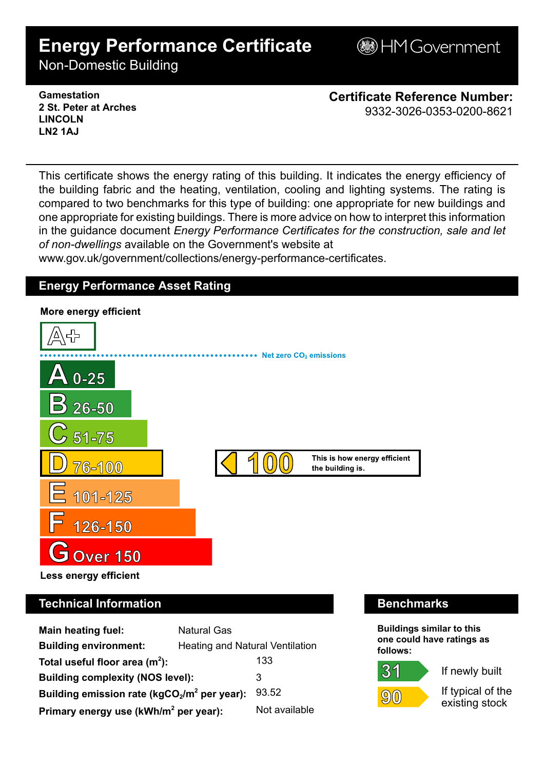# **Energy Performance Certificate**

**B**HM Government

Non-Domestic Building

### **Gamestation 2 St. Peter at Arches LINCOLN LN2 1AJ**

**Certificate Reference Number:** 9332-3026-0353-0200-8621

This certificate shows the energy rating of this building. It indicates the energy efficiency of the building fabric and the heating, ventilation, cooling and lighting systems. The rating is compared to two benchmarks for this type of building: one appropriate for new buildings and one appropriate for existing buildings. There is more advice on how to interpret this information in the guidance document *Energy Performance Certificates for the construction, sale and let of non-dwellings* available on the Government's website at

www.gov.uk/government/collections/energy-performance-certificates.

# **Energy Performance Asset Rating**



# **Technical Information Benchmarks**

| <b>Main heating fuel:</b>                         | <b>Natural Gas</b>              |               |
|---------------------------------------------------|---------------------------------|---------------|
| <b>Building environment:</b>                      | Heating and Natural Ventilation |               |
| Total useful floor area $(m2)$ :                  |                                 | 133           |
| <b>Building complexity (NOS level):</b>           |                                 | 3             |
| Building emission rate ( $kgCO2/m2$ per year):    |                                 | 93.52         |
| Primary energy use (kWh/m <sup>2</sup> per year): |                                 | Not available |

**Buildings similar to this one could have ratings as follows:**

 $(9)(0)$ 

 $31$ 

If newly built

If typical of the existing stock